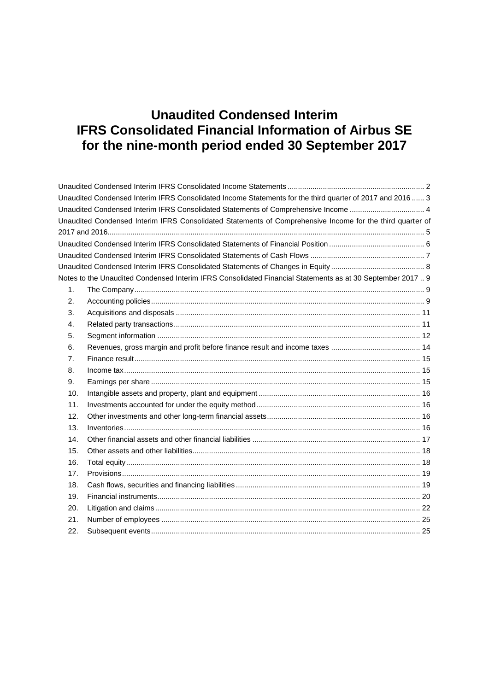|                | Unaudited Condensed Interim IFRS Consolidated Income Statements for the third quarter of 2017 and 2016 3  |  |
|----------------|-----------------------------------------------------------------------------------------------------------|--|
|                | Unaudited Condensed Interim IFRS Consolidated Statements of Comprehensive Income  4                       |  |
|                | Unaudited Condensed Interim IFRS Consolidated Statements of Comprehensive Income for the third quarter of |  |
|                |                                                                                                           |  |
|                |                                                                                                           |  |
|                |                                                                                                           |  |
|                |                                                                                                           |  |
|                | Notes to the Unaudited Condensed Interim IFRS Consolidated Financial Statements as at 30 September 2017 9 |  |
| 1 <sub>1</sub> |                                                                                                           |  |
| 2.             |                                                                                                           |  |
| 3.             |                                                                                                           |  |
| 4.             |                                                                                                           |  |
| 5.             |                                                                                                           |  |
| 6.             |                                                                                                           |  |
| 7.             |                                                                                                           |  |
| 8.             |                                                                                                           |  |
| 9.             |                                                                                                           |  |
| 10.            |                                                                                                           |  |
| 11.            |                                                                                                           |  |
| 12.            |                                                                                                           |  |
| 13.            |                                                                                                           |  |
| 14.            |                                                                                                           |  |
| 15.            |                                                                                                           |  |
| 16.            |                                                                                                           |  |
| 17.            |                                                                                                           |  |
| 18.            |                                                                                                           |  |
| 19.            |                                                                                                           |  |
| 20.            |                                                                                                           |  |
| 21.            |                                                                                                           |  |
| 22.            |                                                                                                           |  |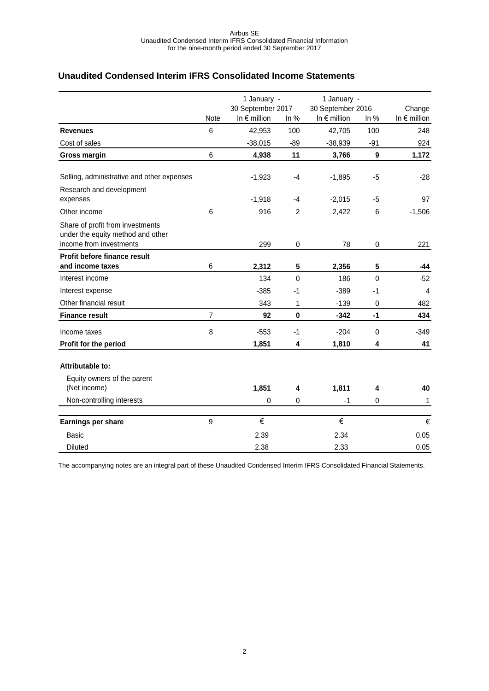### <span id="page-1-0"></span>**Unaudited Condensed Interim IFRS Consolidated Income Statements**

|                                                                                                  |                 | 1 January -                                |                | 1 January -                                |             |                                 |
|--------------------------------------------------------------------------------------------------|-----------------|--------------------------------------------|----------------|--------------------------------------------|-------------|---------------------------------|
|                                                                                                  | <b>Note</b>     | 30 September 2017<br>In $\epsilon$ million | In $%$         | 30 September 2016<br>In $\epsilon$ million | In %        | Change<br>In $\epsilon$ million |
| <b>Revenues</b>                                                                                  | 6               | 42,953                                     | 100            | 42,705                                     | 100         | 248                             |
| Cost of sales                                                                                    |                 | $-38,015$                                  | $-89$          | $-38,939$                                  | $-91$       | 924                             |
| <b>Gross margin</b>                                                                              | $6\phantom{1}6$ | 4,938                                      | 11             | 3,766                                      | 9           | 1,172                           |
| Selling, administrative and other expenses                                                       |                 | $-1,923$                                   | -4             | $-1,895$                                   | -5          | $-28$                           |
| Research and development<br>expenses                                                             |                 | $-1,918$                                   | -4             | $-2,015$                                   | $-5$        | 97                              |
| Other income                                                                                     | 6               | 916                                        | $\overline{2}$ | 2,422                                      | 6           | $-1,506$                        |
| Share of profit from investments<br>under the equity method and other<br>income from investments |                 | 299                                        | 0              | 78                                         | 0           | 221                             |
| Profit before finance result                                                                     |                 |                                            |                |                                            |             |                                 |
| and income taxes                                                                                 | $\,6$           | 2,312                                      | 5              | 2,356                                      | 5           | -44                             |
| Interest income                                                                                  |                 | 134                                        | $\Omega$       | 186                                        | $\Omega$    | $-52$                           |
| Interest expense                                                                                 |                 | $-385$                                     | -1             | $-389$                                     | $-1$        | $\overline{4}$                  |
| Other financial result                                                                           |                 | 343                                        | 1              | $-139$                                     | $\mathbf 0$ | 482                             |
| <b>Finance result</b>                                                                            | $\overline{7}$  | 92                                         | $\mathbf 0$    | $-342$                                     | $-1$        | 434                             |
| Income taxes                                                                                     | 8               | $-553$                                     | $-1$           | $-204$                                     | 0           | $-349$                          |
| Profit for the period                                                                            |                 | 1,851                                      | 4              | 1,810                                      | 4           | 41                              |
| Attributable to:                                                                                 |                 |                                            |                |                                            |             |                                 |
| Equity owners of the parent<br>(Net income)                                                      |                 | 1,851                                      | 4              | 1,811                                      | 4           | 40                              |
| Non-controlling interests                                                                        |                 | 0                                          | 0              | $-1$                                       | 0           | 1                               |
| Earnings per share                                                                               | 9               | €                                          |                | €                                          |             | €                               |
| Basic                                                                                            |                 | 2.39                                       |                | 2.34                                       |             | 0.05                            |
| <b>Diluted</b>                                                                                   |                 | 2.38                                       |                | 2.33                                       |             | 0.05                            |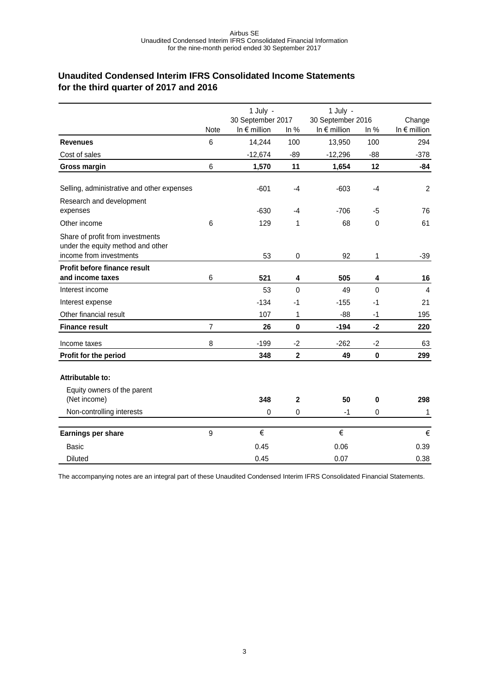### <span id="page-2-0"></span>**Unaudited Condensed Interim IFRS Consolidated Income Statements for the third quarter of 2017 and 2016**

|                                                                                                  |             | 1 July -                                   |                | 1 July -                                   |              |                                 |
|--------------------------------------------------------------------------------------------------|-------------|--------------------------------------------|----------------|--------------------------------------------|--------------|---------------------------------|
|                                                                                                  | <b>Note</b> | 30 September 2017<br>In $\epsilon$ million | In $%$         | 30 September 2016<br>In $\epsilon$ million | In $%$       | Change<br>In $\epsilon$ million |
| <b>Revenues</b>                                                                                  | 6           | 14,244                                     | 100            | 13,950                                     | 100          | 294                             |
| Cost of sales                                                                                    |             | $-12,674$                                  | $-89$          | $-12,296$                                  | $-88$        | $-378$                          |
| <b>Gross margin</b>                                                                              | 6           | 1,570                                      | 11             | 1,654                                      | 12           | $-84$                           |
|                                                                                                  |             |                                            |                |                                            |              |                                 |
| Selling, administrative and other expenses                                                       |             | $-601$                                     | $-4$           | $-603$                                     | $-4$         | $\overline{2}$                  |
| Research and development<br>expenses                                                             |             | $-630$                                     | -4             | $-706$                                     | $-5$         | 76                              |
| Other income                                                                                     | 6           | 129                                        | 1              | 68                                         | 0            | 61                              |
| Share of profit from investments<br>under the equity method and other<br>income from investments |             | 53                                         | $\mathbf 0$    | 92                                         | 1            | $-39$                           |
| Profit before finance result                                                                     |             |                                            |                |                                            |              |                                 |
| and income taxes                                                                                 | 6           | 521                                        | 4              | 505                                        | 4            | 16                              |
| Interest income                                                                                  |             | 53                                         | $\mathbf{0}$   | 49                                         | $\mathbf{0}$ | 4                               |
| Interest expense                                                                                 |             | $-134$                                     | $-1$           | $-155$                                     | $-1$         | 21                              |
| Other financial result                                                                           |             | 107                                        | 1              | $-88$                                      | $-1$         | 195                             |
| <b>Finance result</b>                                                                            | 7           | 26                                         | $\mathbf 0$    | $-194$                                     | $-2$         | 220                             |
| Income taxes                                                                                     | 8           | $-199$                                     | $-2$           | $-262$                                     | $-2$         | 63                              |
| Profit for the period                                                                            |             | 348                                        | $\mathbf{2}$   | 49                                         | $\bf{0}$     | 299                             |
| <b>Attributable to:</b>                                                                          |             |                                            |                |                                            |              |                                 |
| Equity owners of the parent<br>(Net income)                                                      |             | 348                                        | $\overline{2}$ | 50                                         | 0            | 298                             |
| Non-controlling interests                                                                        |             | 0                                          | $\mathbf 0$    | $-1$                                       | 0            | 1                               |
| Earnings per share                                                                               | 9           | €                                          |                | €                                          |              | €                               |
| <b>Basic</b>                                                                                     |             | 0.45                                       |                | 0.06                                       |              | 0.39                            |
| <b>Diluted</b>                                                                                   |             | 0.45                                       |                | 0.07                                       |              | 0.38                            |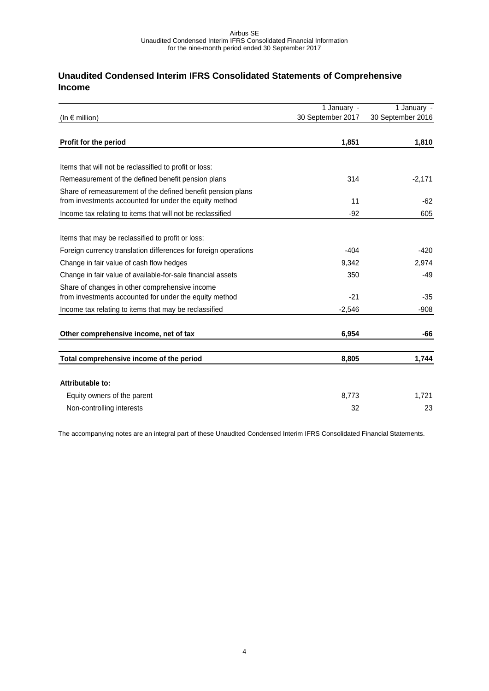# <span id="page-3-0"></span>**Unaudited Condensed Interim IFRS Consolidated Statements of Comprehensive Income**

|                                                                                                                       | 1 January -       | 1 January -       |
|-----------------------------------------------------------------------------------------------------------------------|-------------------|-------------------|
| (In $\epsilon$ million)                                                                                               | 30 September 2017 | 30 September 2016 |
| Profit for the period                                                                                                 | 1,851             | 1,810             |
|                                                                                                                       |                   |                   |
| Items that will not be reclassified to profit or loss:                                                                |                   |                   |
| Remeasurement of the defined benefit pension plans                                                                    | 314               | $-2,171$          |
| Share of remeasurement of the defined benefit pension plans<br>from investments accounted for under the equity method | 11                | $-62$             |
| Income tax relating to items that will not be reclassified                                                            | $-92$             | 605               |
|                                                                                                                       |                   |                   |
| Items that may be reclassified to profit or loss:                                                                     |                   |                   |
| Foreign currency translation differences for foreign operations                                                       | $-404$            | $-420$            |
| Change in fair value of cash flow hedges                                                                              | 9,342             | 2,974             |
| Change in fair value of available-for-sale financial assets                                                           | 350               | $-49$             |
| Share of changes in other comprehensive income<br>from investments accounted for under the equity method              | $-21$             | $-35$             |
| Income tax relating to items that may be reclassified                                                                 | $-2,546$          | $-908$            |
| Other comprehensive income, net of tax                                                                                | 6,954             | -66               |
| Total comprehensive income of the period                                                                              | 8,805             | 1,744             |
| Attributable to:                                                                                                      |                   |                   |
|                                                                                                                       |                   |                   |
| Equity owners of the parent                                                                                           | 8,773             | 1,721             |
| Non-controlling interests                                                                                             | 32                | 23                |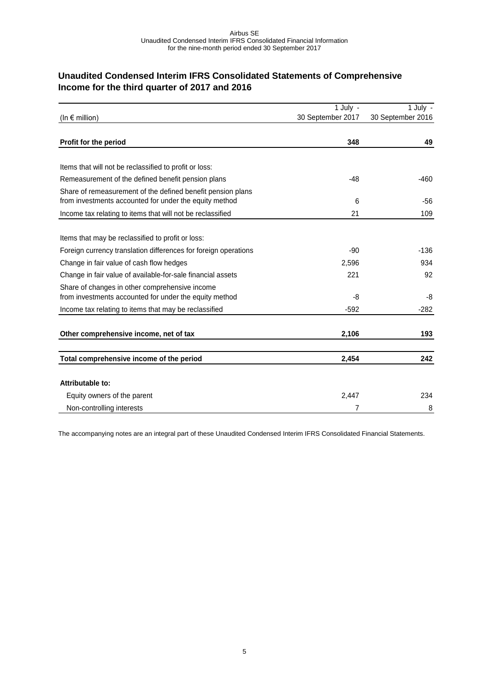# <span id="page-4-0"></span>**Unaudited Condensed Interim IFRS Consolidated Statements of Comprehensive Income for the third quarter of 2017 and 2016**

|                                                                                                                       | 1 July -          | $1$ July -        |
|-----------------------------------------------------------------------------------------------------------------------|-------------------|-------------------|
| $(ln \in$ million)                                                                                                    | 30 September 2017 | 30 September 2016 |
| Profit for the period                                                                                                 | 348               | 49                |
|                                                                                                                       |                   |                   |
| Items that will not be reclassified to profit or loss:                                                                |                   |                   |
| Remeasurement of the defined benefit pension plans                                                                    | $-48$             | $-460$            |
| Share of remeasurement of the defined benefit pension plans<br>from investments accounted for under the equity method | 6                 | $-56$             |
| Income tax relating to items that will not be reclassified                                                            | 21                | 109               |
|                                                                                                                       |                   |                   |
| Items that may be reclassified to profit or loss:                                                                     |                   |                   |
| Foreign currency translation differences for foreign operations                                                       | $-90$             | $-136$            |
| Change in fair value of cash flow hedges                                                                              | 2,596             | 934               |
| Change in fair value of available-for-sale financial assets                                                           | 221               | 92                |
| Share of changes in other comprehensive income<br>from investments accounted for under the equity method              | -8                | -8                |
| Income tax relating to items that may be reclassified                                                                 | $-592$            | $-282$            |
| Other comprehensive income, net of tax                                                                                | 2,106             | 193               |
|                                                                                                                       |                   |                   |
| Total comprehensive income of the period                                                                              | 2,454             | 242               |
|                                                                                                                       |                   |                   |
| Attributable to:                                                                                                      |                   |                   |
| Equity owners of the parent                                                                                           | 2,447             | 234               |
| Non-controlling interests                                                                                             | 7                 | 8                 |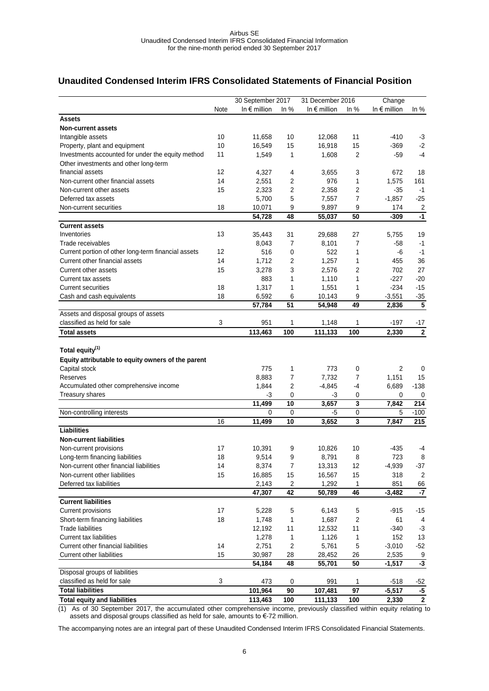### <span id="page-5-0"></span>**Unaudited Condensed Interim IFRS Consolidated Statements of Financial Position**

|                                                                     |      | 30 September 2017     |                         | 31 December 2016      |                         | Change                |                       |
|---------------------------------------------------------------------|------|-----------------------|-------------------------|-----------------------|-------------------------|-----------------------|-----------------------|
|                                                                     | Note | In $\epsilon$ million | In $%$                  | In $\epsilon$ million | In $%$                  | In $\epsilon$ million | In $%$                |
| Assets                                                              |      |                       |                         |                       |                         |                       |                       |
| <b>Non-current assets</b>                                           |      |                       |                         |                       |                         |                       |                       |
| Intangible assets                                                   | 10   | 11,658                | 10                      | 12,068                | 11                      | $-410$                | $-3$                  |
| Property, plant and equipment                                       | 10   | 16,549                | 15                      | 16,918                | 15                      | $-369$                | $-2$                  |
| Investments accounted for under the equity method                   | 11   | 1,549                 | 1                       | 1,608                 | 2                       | -59                   | $-4$                  |
| Other investments and other long-term                               |      |                       |                         |                       |                         |                       |                       |
| financial assets                                                    | 12   | 4,327                 | 4                       | 3,655                 | 3                       | 672                   | 18                    |
| Non-current other financial assets                                  | 14   | 2,551                 | 2                       | 976                   | 1                       | 1.575                 | 161                   |
| Non-current other assets                                            | 15   | 2,323                 | $\overline{c}$          | 2,358                 | 2                       | $-35$                 | $-1$                  |
| Deferred tax assets                                                 |      | 5,700                 | 5                       | 7,557                 | 7                       | $-1,857$              | -25                   |
| Non-current securities                                              | 18   | 10,071                | 9                       | 9,897                 | 9                       | 174                   | $\overline{c}$        |
|                                                                     |      | 54,728                | 48                      | 55,037                | 50                      | $-309$                | $-1$                  |
| <b>Current assets</b>                                               |      |                       |                         |                       |                         |                       |                       |
| Inventories                                                         | 13   | 35,443                | 31                      | 29,688                | 27                      | 5,755                 | 19                    |
| Trade receivables                                                   |      | 8,043                 | 7                       | 8,101                 | 7                       | $-58$                 | $-1$                  |
| Current portion of other long-term financial assets                 | 12   | 516                   | 0                       | 522                   | 1                       | -6                    | $-1$                  |
| Current other financial assets                                      | 14   | 1,712                 | 2                       | 1,257                 | 1                       | 455                   | 36                    |
| Current other assets                                                | 15   | 3,278                 | 3                       | 2,576                 | 2                       | 702                   | 27                    |
| Current tax assets                                                  |      | 883                   | 1                       | 1,110                 | 1                       | $-227$                | $-20$                 |
| <b>Current securities</b>                                           | 18   | 1,317                 | 1                       | 1,551                 | 1                       | $-234$                | $-15$                 |
| Cash and cash equivalents                                           | 18   | 6,592                 | 6                       | 10,143                | 9                       | $-3,551$              | $-35$                 |
|                                                                     |      | 57,784                | 51                      | 54,948                | 49                      | 2,836                 | 5                     |
| Assets and disposal groups of assets<br>classified as held for sale | 3    | 951                   | 1                       |                       | 1                       | $-197$                |                       |
| <b>Total assets</b>                                                 |      | 113,463               | 100                     | 1,148<br>111,133      | 100                     | 2,330                 | -17<br>$\overline{2}$ |
|                                                                     |      |                       |                         |                       |                         |                       |                       |
| Total equity <sup>(1)</sup>                                         |      |                       |                         |                       |                         |                       |                       |
| Equity attributable to equity owners of the parent                  |      |                       |                         |                       |                         |                       |                       |
| Capital stock                                                       |      | 775                   | 1                       | 773                   | 0                       | $\overline{2}$        | 0                     |
| Reserves                                                            |      | 8,883                 | $\overline{7}$          | 7,732                 | $\overline{7}$          | 1,151                 | 15                    |
| Accumulated other comprehensive income                              |      | 1,844                 | 2                       | $-4,845$              | -4                      | 6,689                 | $-138$                |
| <b>Treasury shares</b>                                              |      | -3                    | 0                       | -3                    | 0                       | 0                     | 0                     |
|                                                                     |      | 11,499                | 10                      | 3,657                 | 3                       | 7,842                 | 214                   |
| Non-controlling interests                                           |      | $\Omega$              | $\mathbf 0$             | -5                    | $\pmb{0}$               | 5                     | $-100$                |
|                                                                     | 16   | 11,499                | 10                      | 3,652                 | 3                       | 7,847                 | 215                   |
| <b>Liabilities</b>                                                  |      |                       |                         |                       |                         |                       |                       |
| <b>Non-current liabilities</b>                                      |      |                       |                         |                       |                         |                       |                       |
| Non-current provisions                                              | 17   | 10,391                | 9                       | 10,826                | 10                      | $-435$                | -4                    |
| Long-term financing liabilities                                     | 18   | 9.514                 | 9                       | 8,791                 | 8                       | 723                   | 8                     |
| Non-current other financial liabilities                             | 14   | 8,374                 | $\boldsymbol{7}$        | 13,313                | 12                      | $-4,939$              | -37                   |
| Non-current other liabilities                                       | 15   | 16,885                | 15                      | 16,567                | 15                      | 318                   | $\overline{c}$        |
| Deferred tax liabilities                                            |      | 2,143                 | $\overline{\mathbf{c}}$ | 1,292                 | 1                       | 851                   | 66                    |
|                                                                     |      | 47,307                | 42                      | 50,789                | 46                      | $-3,482$              | $-7$                  |
| <b>Current liabilities</b>                                          |      |                       |                         |                       |                         |                       |                       |
| <b>Current provisions</b>                                           | 17   | 5,228                 | 5                       | 6,143                 | 5                       | -915                  | $-15$                 |
| Short-term financing liabilities                                    | 18   | 1,748                 | 1                       | 1,687                 | $\overline{\mathbf{c}}$ | 61                    | 4                     |
| <b>Trade liabilities</b>                                            |      | 12,192                | 11                      | 12,532                | 11                      | $-340$                | $-3$                  |
| <b>Current tax liabilities</b>                                      |      | 1,278                 | 1                       | 1,126                 | 1                       | 152                   | 13                    |
| Current other financial liabilities                                 | 14   | 2,751                 | $\overline{c}$          | 5,761                 | 5                       | $-3,010$              | $-52$                 |
| <b>Current other liabilities</b>                                    | 15   | 30,987                | 28                      | 28,452                | 26                      | 2,535                 | 9                     |
|                                                                     |      | 54,184                | 48                      | 55,701                | 50                      | $-1,517$              | $-3$                  |
| Disposal groups of liabilities                                      |      |                       |                         |                       |                         |                       |                       |
| classified as held for sale                                         | 3    | 473                   | 0                       | 991                   | 1                       | -518                  | $-52$                 |
| <b>Total liabilities</b>                                            |      | 101,964               | 90                      | 107,481               | 97                      | $-5,517$              | -5                    |
| <b>Total equity and liabilities</b>                                 |      | 113,463               | 100                     | 111,133               | 100                     | 2,330                 | $\boldsymbol{2}$      |

(1) As of 30 September 2017, the accumulated other comprehensive income, previously classified within equity relating to assets and disposal groups classified as held for sale, amounts to €-72 million.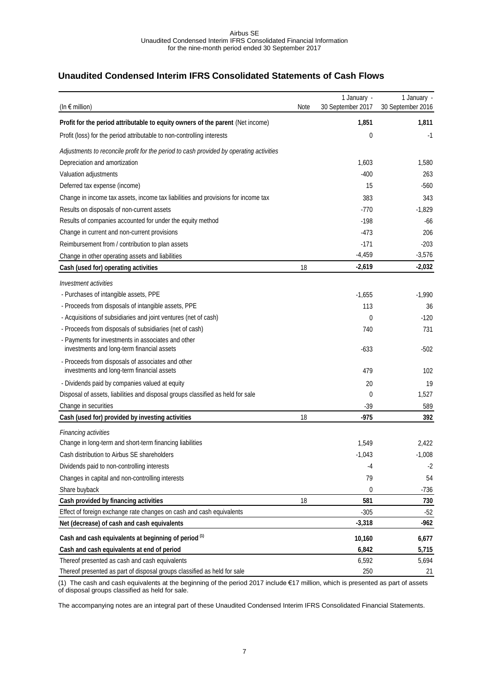# <span id="page-6-0"></span>**Unaudited Condensed Interim IFRS Consolidated Statements of Cash Flows**

| (In $\epsilon$ million)                                                                          | Note | 1 January -<br>30 September 2017 | 1 January -<br>30 September 2016 |
|--------------------------------------------------------------------------------------------------|------|----------------------------------|----------------------------------|
| Profit for the period attributable to equity owners of the parent (Net income)                   |      | 1,851                            | 1,811                            |
| Profit (loss) for the period attributable to non-controlling interests                           |      | 0                                | -1                               |
| Adjustments to reconcile profit for the period to cash provided by operating activities          |      |                                  |                                  |
| Depreciation and amortization                                                                    |      | 1,603                            | 1,580                            |
| Valuation adjustments                                                                            |      | $-400$                           | 263                              |
| Deferred tax expense (income)                                                                    |      | 15                               | $-560$                           |
| Change in income tax assets, income tax liabilities and provisions for income tax                |      | 383                              | 343                              |
| Results on disposals of non-current assets                                                       |      | $-770$                           | $-1,829$                         |
| Results of companies accounted for under the equity method                                       |      | $-198$                           | $-66$                            |
| Change in current and non-current provisions                                                     |      | $-473$                           | 206                              |
| Reimbursement from / contribution to plan assets                                                 |      | $-171$                           | $-203$                           |
| Change in other operating assets and liabilities                                                 |      | $-4,459$                         | $-3,576$                         |
| Cash (used for) operating activities                                                             | 18   | $-2,619$                         | $-2,032$                         |
| Investment activities                                                                            |      |                                  |                                  |
| - Purchases of intangible assets, PPE                                                            |      | $-1,655$                         | $-1,990$                         |
| - Proceeds from disposals of intangible assets, PPE                                              |      | 113                              | 36                               |
| - Acquisitions of subsidiaries and joint ventures (net of cash)                                  |      | 0                                | $-120$                           |
| - Proceeds from disposals of subsidiaries (net of cash)                                          |      | 740                              | 731                              |
| - Payments for investments in associates and other<br>investments and long-term financial assets |      | $-633$                           | $-502$                           |
| - Proceeds from disposals of associates and other<br>investments and long-term financial assets  |      | 479                              | 102                              |
| - Dividends paid by companies valued at equity                                                   |      | 20                               | 19                               |
| Disposal of assets, liabilities and disposal groups classified as held for sale                  |      | 0                                | 1,527                            |
| Change in securities                                                                             |      | $-39$                            | 589                              |
| Cash (used for) provided by investing activities                                                 | 18   | $-975$                           | 392                              |
| Financing activities                                                                             |      |                                  |                                  |
| Change in long-term and short-term financing liabilities                                         |      | 1,549                            | 2,422                            |
| Cash distribution to Airbus SE shareholders                                                      |      | $-1,043$                         | $-1,008$                         |
| Dividends paid to non-controlling interests                                                      |      | -4                               | $-2$                             |
| Changes in capital and non-controlling interests                                                 |      | 79                               | 54                               |
| Share buyback                                                                                    |      | 0                                | $-736$                           |
| Cash provided by financing activities                                                            | 18   | 581                              | 730                              |
| Effect of foreign exchange rate changes on cash and cash equivalents                             |      | $-305$                           | $-52$                            |
| Net (decrease) of cash and cash equivalents                                                      |      | $-3,318$                         | $-962$                           |
| Cash and cash equivalents at beginning of period (1)                                             |      | 10,160                           | 6,677                            |
| Cash and cash equivalents at end of period                                                       |      | 6,842                            | 5,715                            |
| Thereof presented as cash and cash equivalents                                                   |      | 6,592                            | 5,694                            |
| Thereof presented as part of disposal groups classified as held for sale                         |      | 250                              | 21                               |

(1) The cash and cash equivalents at the beginning of the period 2017 include €17 million, which is presented as part of assets of disposal groups classified as held for sale.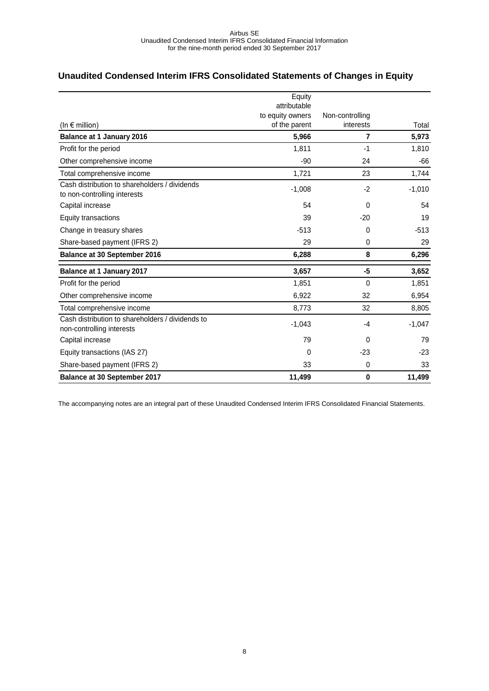# <span id="page-7-0"></span>**Unaudited Condensed Interim IFRS Consolidated Statements of Changes in Equity**

|                                                  | Equity                            |                              |          |
|--------------------------------------------------|-----------------------------------|------------------------------|----------|
|                                                  | attributable                      |                              |          |
|                                                  | to equity owners<br>of the parent | Non-controlling<br>interests | Total    |
| (In $\epsilon$ million)                          |                                   |                              |          |
| <b>Balance at 1 January 2016</b>                 | 5,966                             | $\overline{7}$               | 5,973    |
| Profit for the period                            | 1,811                             | $-1$                         | 1,810    |
| Other comprehensive income                       | $-90$                             | 24                           | -66      |
| Total comprehensive income                       | 1,721                             | 23                           | 1,744    |
| Cash distribution to shareholders / dividends    | $-1,008$                          | $-2$                         | $-1,010$ |
| to non-controlling interests                     |                                   |                              |          |
| Capital increase                                 | 54                                | $\Omega$                     | 54       |
| Equity transactions                              | 39                                | $-20$                        | 19       |
| Change in treasury shares                        | $-513$                            | 0                            | $-513$   |
| Share-based payment (IFRS 2)                     | 29                                | $\Omega$                     | 29       |
| <b>Balance at 30 September 2016</b>              | 6,288                             | 8                            | 6,296    |
| <b>Balance at 1 January 2017</b>                 | 3,657                             | -5                           | 3,652    |
| Profit for the period                            | 1,851                             | $\mathbf 0$                  | 1,851    |
| Other comprehensive income                       | 6,922                             | 32                           | 6,954    |
| Total comprehensive income                       | 8,773                             | 32                           | 8,805    |
| Cash distribution to shareholders / dividends to | $-1,043$                          | -4                           | $-1,047$ |
| non-controlling interests                        |                                   |                              |          |
| Capital increase                                 | 79                                | $\Omega$                     | 79       |
| Equity transactions (IAS 27)                     | $\mathbf{0}$                      | $-23$                        | $-23$    |
| Share-based payment (IFRS 2)                     | 33                                | $\mathbf 0$                  | 33       |
| <b>Balance at 30 September 2017</b>              | 11,499                            | $\bf{0}$                     | 11,499   |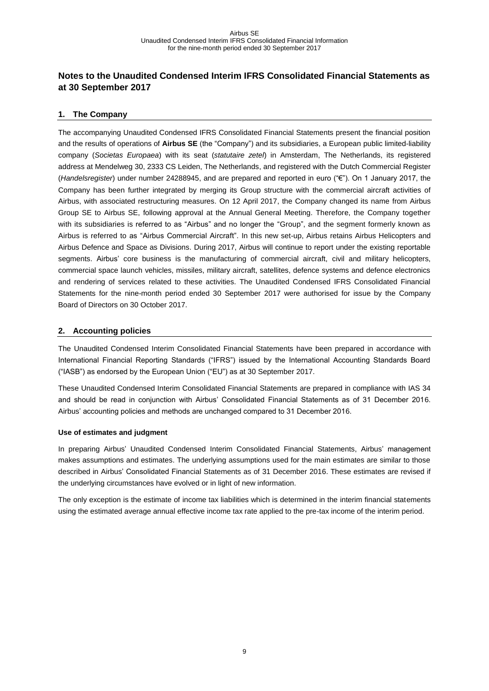# <span id="page-8-0"></span>**Notes to the Unaudited Condensed Interim IFRS Consolidated Financial Statements as at 30 September 2017**

### <span id="page-8-1"></span>**1. The Company**

The accompanying Unaudited Condensed IFRS Consolidated Financial Statements present the financial position and the results of operations of **Airbus SE** (the "Company") and its subsidiaries, a European public limited-liability company (*Societas Europaea*) with its seat (*statutaire zetel*) in Amsterdam, The Netherlands, its registered address at Mendelweg 30, 2333 CS Leiden, The Netherlands, and registered with the Dutch Commercial Register (*Handelsregister*) under number 24288945, and are prepared and reported in euro ("€"). On 1 January 2017, the Company has been further integrated by merging its Group structure with the commercial aircraft activities of Airbus, with associated restructuring measures. On 12 April 2017, the Company changed its name from Airbus Group SE to Airbus SE, following approval at the Annual General Meeting. Therefore, the Company together with its subsidiaries is referred to as "Airbus" and no longer the "Group", and the segment formerly known as Airbus is referred to as "Airbus Commercial Aircraft". In this new set-up, Airbus retains Airbus Helicopters and Airbus Defence and Space as Divisions. During 2017, Airbus will continue to report under the existing reportable segments. Airbus' core business is the manufacturing of commercial aircraft, civil and military helicopters, commercial space launch vehicles, missiles, military aircraft, satellites, defence systems and defence electronics and rendering of services related to these activities. The Unaudited Condensed IFRS Consolidated Financial Statements for the nine-month period ended 30 September 2017 were authorised for issue by the Company Board of Directors on 30 October 2017.

### <span id="page-8-2"></span>**2. Accounting policies**

The Unaudited Condensed Interim Consolidated Financial Statements have been prepared in accordance with International Financial Reporting Standards ("IFRS") issued by the International Accounting Standards Board ("IASB") as endorsed by the European Union ("EU") as at 30 September 2017.

These Unaudited Condensed Interim Consolidated Financial Statements are prepared in compliance with IAS 34 and should be read in conjunction with Airbus' Consolidated Financial Statements as of 31 December 2016. Airbus' accounting policies and methods are unchanged compared to 31 December 2016.

### **Use of estimates and judgment**

In preparing Airbus' Unaudited Condensed Interim Consolidated Financial Statements, Airbus' management makes assumptions and estimates. The underlying assumptions used for the main estimates are similar to those described in Airbus' Consolidated Financial Statements as of 31 December 2016. These estimates are revised if the underlying circumstances have evolved or in light of new information.

The only exception is the estimate of income tax liabilities which is determined in the interim financial statements using the estimated average annual effective income tax rate applied to the pre-tax income of the interim period.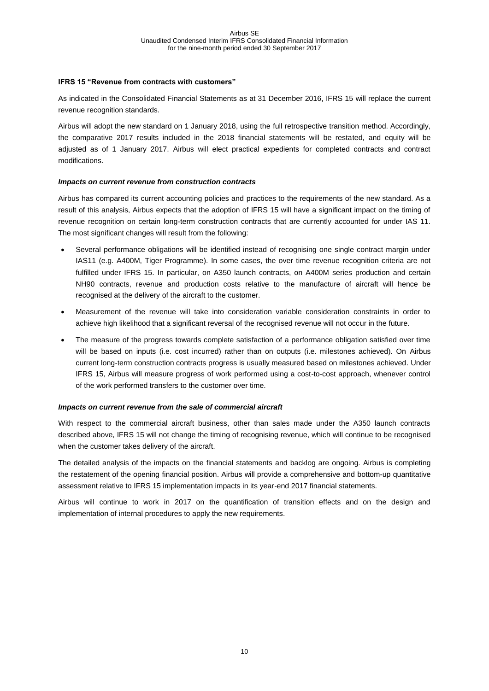### **IFRS 15 "Revenue from contracts with customers"**

As indicated in the Consolidated Financial Statements as at 31 December 2016, IFRS 15 will replace the current revenue recognition standards.

Airbus will adopt the new standard on 1 January 2018, using the full retrospective transition method. Accordingly, the comparative 2017 results included in the 2018 financial statements will be restated, and equity will be adjusted as of 1 January 2017. Airbus will elect practical expedients for completed contracts and contract modifications.

### *Impacts on current revenue from construction contracts*

Airbus has compared its current accounting policies and practices to the requirements of the new standard. As a result of this analysis, Airbus expects that the adoption of IFRS 15 will have a significant impact on the timing of revenue recognition on certain long-term construction contracts that are currently accounted for under IAS 11. The most significant changes will result from the following:

- Several performance obligations will be identified instead of recognising one single contract margin under IAS11 (e.g. A400M, Tiger Programme). In some cases, the over time revenue recognition criteria are not fulfilled under IFRS 15. In particular, on A350 launch contracts, on A400M series production and certain NH90 contracts, revenue and production costs relative to the manufacture of aircraft will hence be recognised at the delivery of the aircraft to the customer.
- Measurement of the revenue will take into consideration variable consideration constraints in order to achieve high likelihood that a significant reversal of the recognised revenue will not occur in the future.
- The measure of the progress towards complete satisfaction of a performance obligation satisfied over time will be based on inputs (i.e. cost incurred) rather than on outputs (i.e. milestones achieved). On Airbus current long-term construction contracts progress is usually measured based on milestones achieved. Under IFRS 15, Airbus will measure progress of work performed using a cost-to-cost approach, whenever control of the work performed transfers to the customer over time.

### *Impacts on current revenue from the sale of commercial aircraft*

With respect to the commercial aircraft business, other than sales made under the A350 launch contracts described above, IFRS 15 will not change the timing of recognising revenue, which will continue to be recognised when the customer takes delivery of the aircraft.

The detailed analysis of the impacts on the financial statements and backlog are ongoing. Airbus is completing the restatement of the opening financial position. Airbus will provide a comprehensive and bottom-up quantitative assessment relative to IFRS 15 implementation impacts in its year-end 2017 financial statements.

Airbus will continue to work in 2017 on the quantification of transition effects and on the design and implementation of internal procedures to apply the new requirements.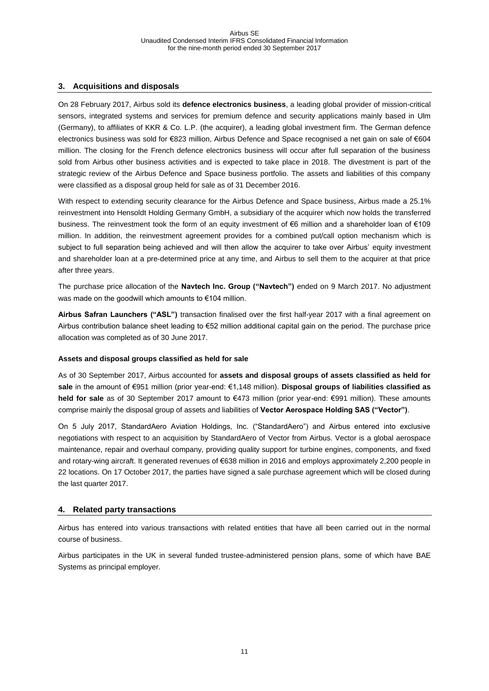### <span id="page-10-0"></span>**3. Acquisitions and disposals**

On 28 February 2017, Airbus sold its **defence electronics business**, a leading global provider of mission-critical sensors, integrated systems and services for premium defence and security applications mainly based in Ulm (Germany), to affiliates of KKR & Co. L.P. (the acquirer), a leading global investment firm. The German defence electronics business was sold for €823 million, Airbus Defence and Space recognised a net gain on sale of €604 million. The closing for the French defence electronics business will occur after full separation of the business sold from Airbus other business activities and is expected to take place in 2018. The divestment is part of the strategic review of the Airbus Defence and Space business portfolio. The assets and liabilities of this company were classified as a disposal group held for sale as of 31 December 2016.

With respect to extending security clearance for the Airbus Defence and Space business, Airbus made a 25.1% reinvestment into Hensoldt Holding Germany GmbH, a subsidiary of the acquirer which now holds the transferred business. The reinvestment took the form of an equity investment of €6 million and a shareholder loan of €109 million. In addition, the reinvestment agreement provides for a combined put/call option mechanism which is subject to full separation being achieved and will then allow the acquirer to take over Airbus' equity investment and shareholder loan at a pre-determined price at any time, and Airbus to sell them to the acquirer at that price after three years.

The purchase price allocation of the **Navtech Inc. Group ("Navtech")** ended on 9 March 2017. No adjustment was made on the goodwill which amounts to €104 million.

**Airbus Safran Launchers ("ASL")** transaction finalised over the first half-year 2017 with a final agreement on Airbus contribution balance sheet leading to €52 million additional capital gain on the period. The purchase price allocation was completed as of 30 June 2017.

### **Assets and disposal groups classified as held for sale**

As of 30 September 2017, Airbus accounted for **assets and disposal groups of assets classified as held for sale** in the amount of €951 million (prior year-end: €1,148 million). **Disposal groups of liabilities classified as held for sale** as of 30 September 2017 amount to €473 million (prior year-end: €991 million). These amounts comprise mainly the disposal group of assets and liabilities of **Vector Aerospace Holding SAS ("Vector")**.

On 5 July 2017, StandardAero Aviation Holdings, Inc. ("StandardAero") and Airbus entered into exclusive negotiations with respect to an acquisition by StandardAero of Vector from Airbus. Vector is a global aerospace maintenance, repair and overhaul company, providing quality support for turbine engines, components, and fixed and rotary-wing aircraft. It generated revenues of €638 million in 2016 and employs approximately 2,200 people in 22 locations. On 17 October 2017, the parties have signed a sale purchase agreement which will be closed during the last quarter 2017.

### <span id="page-10-1"></span>**4. Related party transactions**

Airbus has entered into various transactions with related entities that have all been carried out in the normal course of business.

Airbus participates in the UK in several funded trustee-administered pension plans, some of which have BAE Systems as principal employer.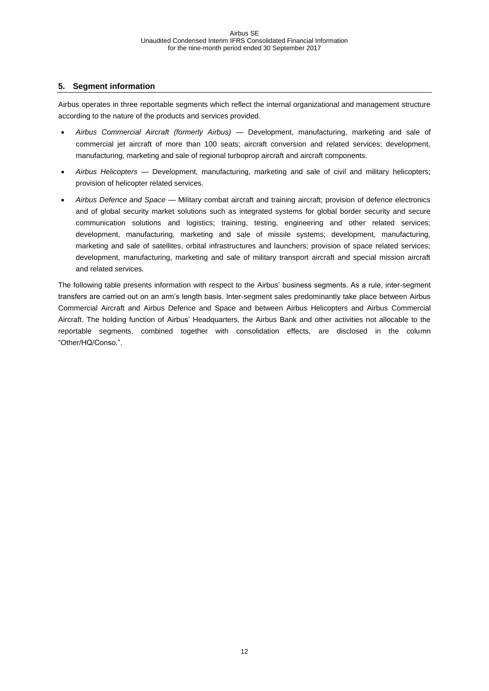### <span id="page-11-0"></span>**5. Segment information**

Airbus operates in three reportable segments which reflect the internal organizational and management structure according to the nature of the products and services provided.

- *Airbus Commercial Aircraft (formerly Airbus) —* Development, manufacturing, marketing and sale of commercial jet aircraft of more than 100 seats; aircraft conversion and related services; development, manufacturing, marketing and sale of regional turboprop aircraft and aircraft components.
- *Airbus Helicopters —* Development, manufacturing, marketing and sale of civil and military helicopters; provision of helicopter related services.
- *Airbus Defence and Space —* Military combat aircraft and training aircraft; provision of defence electronics and of global security market solutions such as integrated systems for global border security and secure communication solutions and logistics; training, testing, engineering and other related services; development, manufacturing, marketing and sale of missile systems; development, manufacturing, marketing and sale of satellites, orbital infrastructures and launchers; provision of space related services; development, manufacturing, marketing and sale of military transport aircraft and special mission aircraft and related services.

The following table presents information with respect to the Airbus' business segments. As a rule, inter-segment transfers are carried out on an arm's length basis. Inter-segment sales predominantly take place between Airbus Commercial Aircraft and Airbus Defence and Space and between Airbus Helicopters and Airbus Commercial Aircraft. The holding function of Airbus' Headquarters, the Airbus Bank and other activities not allocable to the reportable segments, combined together with consolidation effects, are disclosed in the column "Other/HQ/Conso.".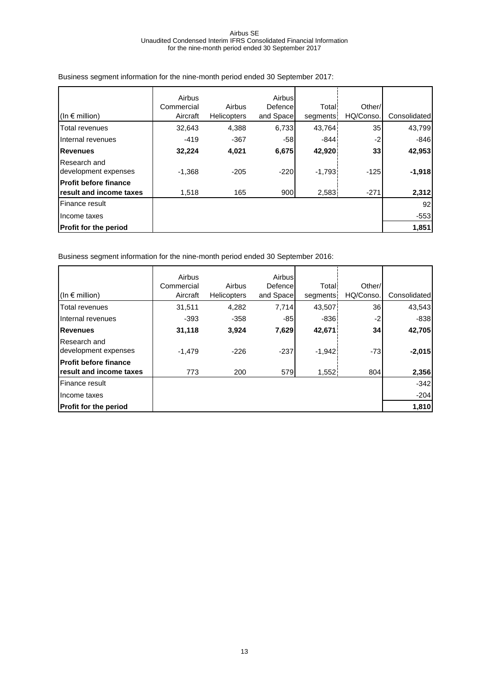|                                                         | Airbus<br>Commercial | Airbus             | Airbus<br>Defence | Total:   | Other/          |              |
|---------------------------------------------------------|----------------------|--------------------|-------------------|----------|-----------------|--------------|
| (In $\epsilon$ million)                                 | Aircraft             | <b>Helicopters</b> | and Space         | segments | HQ/Conso.       | Consolidated |
| Total revenues                                          | 32,643               | 4,388              | 6.733             | 43,764   | 35 I            | 43,799       |
| Internal revenues                                       | $-419$               | $-367$             | -58               | $-844$   | $-2$            | $-846$       |
| <b>Revenues</b>                                         | 32,224               | 4,021              | 6,675             | 42,920   | 33 <sub>1</sub> | 42,953       |
| Research and<br>development expenses                    | $-1,368$             | $-205$             | $-220$            | $-1,793$ | $-125$          | $-1,918$     |
| <b>Profit before finance</b><br>result and income taxes | 1,518                | 165                | 900               | 2,583    | $-271$          | 2,312        |
| Finance result                                          |                      |                    |                   |          |                 | 92           |
| Income taxes                                            |                      |                    |                   |          |                 | $-553$       |
| <b>Profit for the period</b>                            |                      |                    |                   |          |                 | 1,851        |

Business segment information for the nine-month period ended 30 September 2017:

Business segment information for the nine-month period ended 30 September 2016:

|                                      | Airbus<br>Commercial | Airbus      | Airbus<br>Defence | Total <sup>®</sup> | Other/          |              |
|--------------------------------------|----------------------|-------------|-------------------|--------------------|-----------------|--------------|
| $(\ln \epsilon \text{ million})$     | Aircraft             | Helicopters | and Space         | segments           | HQ/Conso.       | Consolidated |
| <b>Total revenues</b>                | 31,511               | 4,282       | 7,714             | 43,507             | <b>36</b>       | 43,543       |
| Internal revenues                    | $-393$               | $-358$      | $-85$             | $-836$             | $-2$            | $-838$       |
| <b>Revenues</b>                      | 31,118               | 3,924       | 7,629             | 42,671             | 34 <sub>1</sub> | 42,705       |
| Research and<br>development expenses | $-1.479$             | $-226$      | $-237$            | $-1,942$           | $-73$           | $-2,015$     |
| <b>Profit before finance</b>         |                      |             |                   |                    |                 |              |
| <b>Iresult and income taxes</b>      | 773                  | 200         | 579               | 1,552              | 804             | 2,356        |
| <b>Finance result</b>                |                      |             |                   |                    |                 | $-342$       |
| Income taxes                         |                      |             |                   |                    |                 | $-204$       |
| <b>Profit for the period</b>         |                      |             |                   |                    |                 | 1,810        |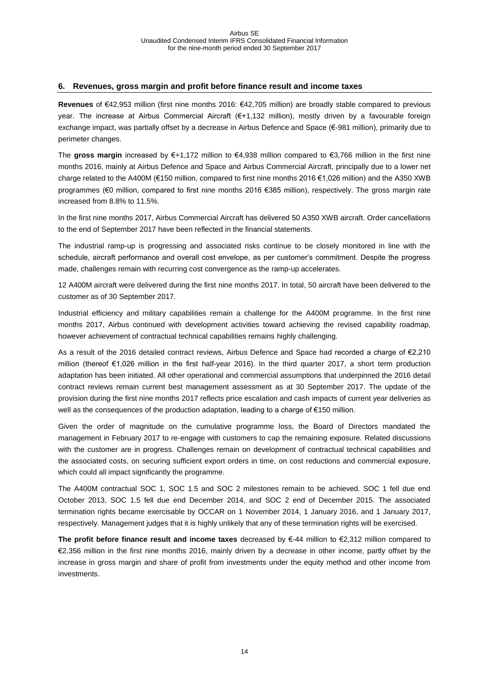### <span id="page-13-0"></span>**6. Revenues, gross margin and profit before finance result and income taxes**

**Revenues** of €42,953 million (first nine months 2016: €42,705 million) are broadly stable compared to previous year. The increase at Airbus Commercial Aircraft (€+1,132 million), mostly driven by a favourable foreign exchange impact, was partially offset by a decrease in Airbus Defence and Space (€-981 million), primarily due to perimeter changes.

The **gross margin** increased by €+1,172 million to €4,938 million compared to €3,766 million in the first nine months 2016, mainly at Airbus Defence and Space and Airbus Commercial Aircraft, principally due to a lower net charge related to the A400M (€150 million, compared to first nine months 2016 €1,026 million) and the A350 XWB programmes (€0 million, compared to first nine months 2016 €385 million), respectively. The gross margin rate increased from 8.8% to 11.5%.

In the first nine months 2017, Airbus Commercial Aircraft has delivered 50 A350 XWB aircraft. Order cancellations to the end of September 2017 have been reflected in the financial statements.

The industrial ramp-up is progressing and associated risks continue to be closely monitored in line with the schedule, aircraft performance and overall cost envelope, as per customer's commitment. Despite the progress made, challenges remain with recurring cost convergence as the ramp-up accelerates.

12 A400M aircraft were delivered during the first nine months 2017. In total, 50 aircraft have been delivered to the customer as of 30 September 2017.

Industrial efficiency and military capabilities remain a challenge for the A400M programme. In the first nine months 2017, Airbus continued with development activities toward achieving the revised capability roadmap, however achievement of contractual technical capabilities remains highly challenging.

As a result of the 2016 detailed contract reviews, Airbus Defence and Space had recorded a charge of €2,210 million (thereof €1,026 million in the first half-year 2016). In the third quarter 2017, a short term production adaptation has been initiated. All other operational and commercial assumptions that underpinned the 2016 detail contract reviews remain current best management assessment as at 30 September 2017. The update of the provision during the first nine months 2017 reflects price escalation and cash impacts of current year deliveries as well as the consequences of the production adaptation, leading to a charge of €150 million.

Given the order of magnitude on the cumulative programme loss, the Board of Directors mandated the management in February 2017 to re-engage with customers to cap the remaining exposure. Related discussions with the customer are in progress. Challenges remain on development of contractual technical capabilities and the associated costs, on securing sufficient export orders in time, on cost reductions and commercial exposure, which could all impact significantly the programme.

The A400M contractual SOC 1, SOC 1.5 and SOC 2 milestones remain to be achieved. SOC 1 fell due end October 2013, SOC 1.5 fell due end December 2014, and SOC 2 end of December 2015. The associated termination rights became exercisable by OCCAR on 1 November 2014, 1 January 2016, and 1 January 2017, respectively. Management judges that it is highly unlikely that any of these termination rights will be exercised.

**The profit before finance result and income taxes** decreased by €-44 million to €2,312 million compared to €2,356 million in the first nine months 2016, mainly driven by a decrease in other income, partly offset by the increase in gross margin and share of profit from investments under the equity method and other income from investments.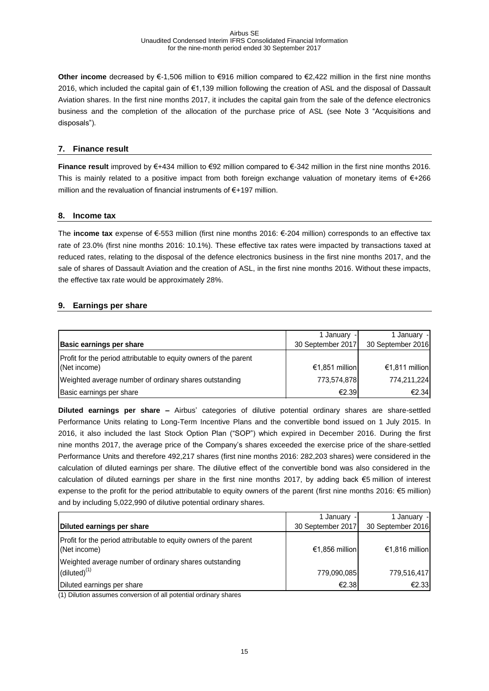**Other income** decreased by €-1,506 million to €916 million compared to €2,422 million in the first nine months 2016, which included the capital gain of €1,139 million following the creation of ASL and the disposal of Dassault Aviation shares. In the first nine months 2017, it includes the capital gain from the sale of the defence electronics business and the completion of the allocation of the purchase price of ASL (see Note 3 "Acquisitions and disposals").

### <span id="page-14-0"></span>**7. Finance result**

**Finance result** improved by €+434 million to €92 million compared to €-342 million in the first nine months 2016. This is mainly related to a positive impact from both foreign exchange valuation of monetary items of €+266 million and the revaluation of financial instruments of €+197 million.

### <span id="page-14-1"></span>**8. Income tax**

The **income tax** expense of €-553 million (first nine months 2016: €-204 million) corresponds to an effective tax rate of 23.0% (first nine months 2016: 10.1%). These effective tax rates were impacted by transactions taxed at reduced rates, relating to the disposal of the defence electronics business in the first nine months 2017, and the sale of shares of Dassault Aviation and the creation of ASL, in the first nine months 2016. Without these impacts, the effective tax rate would be approximately 28%.

### <span id="page-14-2"></span>**9. Earnings per share**

| <b>Basic earnings per share</b>                                                   | 1 January -<br>30 September 2017 | 1 January -<br>30 September 2016 |
|-----------------------------------------------------------------------------------|----------------------------------|----------------------------------|
| Profit for the period attributable to equity owners of the parent<br>(Net income) | €1,851 million                   | €1,811 million                   |
| Weighted average number of ordinary shares outstanding                            | 773,574,878                      | 774,211,224                      |
| Basic earnings per share                                                          | €2.39                            | €2.34                            |

**Diluted earnings per share –** Airbus' categories of dilutive potential ordinary shares are share-settled Performance Units relating to Long-Term Incentive Plans and the convertible bond issued on 1 July 2015. In 2016, it also included the last Stock Option Plan ("SOP") which expired in December 2016. During the first nine months 2017, the average price of the Company's shares exceeded the exercise price of the share-settled Performance Units and therefore 492,217 shares (first nine months 2016: 282,203 shares) were considered in the calculation of diluted earnings per share. The dilutive effect of the convertible bond was also considered in the calculation of diluted earnings per share in the first nine months 2017, by adding back €5 million of interest expense to the profit for the period attributable to equity owners of the parent (first nine months 2016: €5 million) and by including 5,022,990 of dilutive potential ordinary shares.

|                                                                                   | 1 January -       | 1 January -       |
|-----------------------------------------------------------------------------------|-------------------|-------------------|
| Diluted earnings per share                                                        | 30 September 2017 | 30 September 2016 |
| Profit for the period attributable to equity owners of the parent<br>(Net income) | €1,856 million    | €1,816 million    |
| Weighted average number of ordinary shares outstanding                            |                   |                   |
| $(diluted)^{(1)}$                                                                 | 779,090,085       | 779.516.417       |
| Diluted earnings per share                                                        | €2.38             | €2.33             |

(1) Dilution assumes conversion of all potential ordinary shares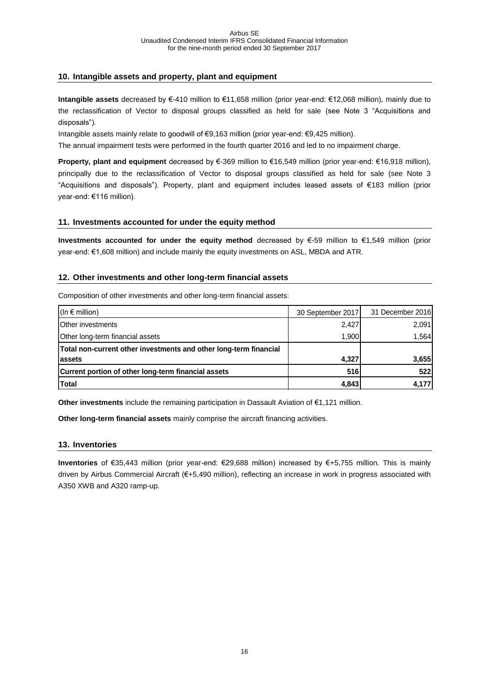### <span id="page-15-0"></span>**10. Intangible assets and property, plant and equipment**

**Intangible assets** decreased by €-410 million to €11,658 million (prior year-end: €12,068 million), mainly due to the reclassification of Vector to disposal groups classified as held for sale (see Note 3 "Acquisitions and disposals").

Intangible assets mainly relate to goodwill of €9,163 million (prior year-end: €9,425 million).

The annual impairment tests were performed in the fourth quarter 2016 and led to no impairment charge.

**Property, plant and equipment** decreased by €-369 million to €16,549 million (prior year-end: €16,918 million), principally due to the reclassification of Vector to disposal groups classified as held for sale (see Note 3 "Acquisitions and disposals"). Property, plant and equipment includes leased assets of €183 million (prior year-end: €116 million).

### <span id="page-15-1"></span>**11. Investments accounted for under the equity method**

**Investments accounted for under the equity method** decreased by €-59 million to €1,549 million (prior year-end: €1,608 million) and include mainly the equity investments on ASL, MBDA and ATR.

### <span id="page-15-2"></span>**12. Other investments and other long-term financial assets**

Composition of other investments and other long-term financial assets:

| (In $\epsilon$ million)                                           | 30 September 2017 | 31 December 2016 |
|-------------------------------------------------------------------|-------------------|------------------|
| <b>Other investments</b>                                          | 2,427             | 2,091            |
| Other long-term financial assets                                  | 1,900             | 1,564            |
| Total non-current other investments and other long-term financial |                   |                  |
| lassets                                                           | 4,327             | 3,655            |
| Current portion of other long-term financial assets               | 516               | 522              |
| <b>Total</b>                                                      | 4,843             | 4,177            |

**Other investments** include the remaining participation in Dassault Aviation of €1,121 million.

**Other long-term financial assets** mainly comprise the aircraft financing activities.

### <span id="page-15-3"></span>**13. Inventories**

**Inventories** of €35,443 million (prior year-end: €29,688 million) increased by €+5,755 million. This is mainly driven by Airbus Commercial Aircraft (€+5,490 million), reflecting an increase in work in progress associated with A350 XWB and A320 ramp-up.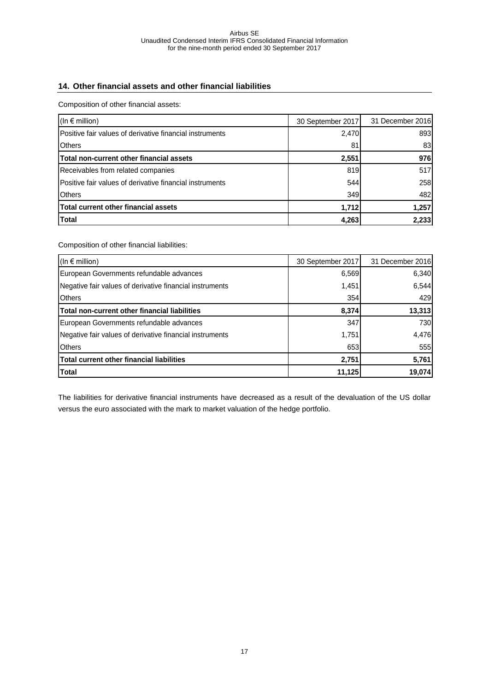### <span id="page-16-0"></span>**14. Other financial assets and other financial liabilities**

Composition of other financial assets:

| (In $\epsilon$ million)                                           | 30 September 2017 | 31 December 2016 |
|-------------------------------------------------------------------|-------------------|------------------|
| <b>I</b> Positive fair values of derivative financial instruments | 2,470             | 893              |
| <b>Others</b>                                                     | 81                | 83               |
| Total non-current other financial assets                          | 2,551             | 976              |
| Receivables from related companies                                | 819               | 517              |
| Positive fair values of derivative financial instruments          | 544               | 258              |
| <b>Others</b>                                                     | 349               | 482              |
| <b>Total current other financial assets</b>                       | 1,712             | 1,257            |
| <b>Total</b>                                                      | 4,263             | 2,233            |

Composition of other financial liabilities:

| (In $\epsilon$ million)                                  | 30 September 2017 | 31 December 2016 |
|----------------------------------------------------------|-------------------|------------------|
| European Governments refundable advances                 | 6,569             | 6,340            |
| Negative fair values of derivative financial instruments | 1,451             | 6,544            |
| <b>Others</b>                                            | 354               | 429              |
| Total non-current other financial liabilities            | 8,374             | 13,313           |
| European Governments refundable advances                 | 347               | 730              |
| Negative fair values of derivative financial instruments | 1,751             | 4,476            |
| <b>Others</b>                                            | 653               | 555              |
| <b>Total current other financial liabilities</b>         | 2,751             | 5,761            |
| <b>Total</b>                                             | 11,125            | 19,074           |

The liabilities for derivative financial instruments have decreased as a result of the devaluation of the US dollar versus the euro associated with the mark to market valuation of the hedge portfolio.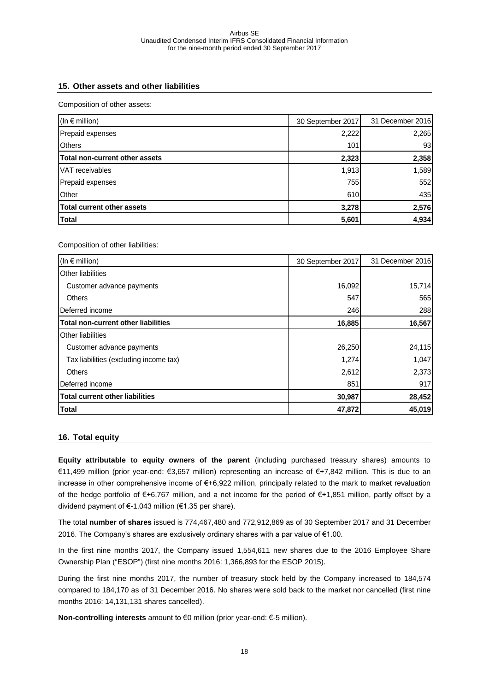### <span id="page-17-0"></span>**15. Other assets and other liabilities**

Composition of other assets:

| (In $\epsilon$ million)           | 30 September 2017 | 31 December 2016 |
|-----------------------------------|-------------------|------------------|
| Prepaid expenses                  | 2,222             | 2,265            |
| <b>Others</b>                     | 101               | 93               |
| Total non-current other assets    | 2,323             | 2,358            |
| VAT receivables                   | 1,913             | 1,589            |
| Prepaid expenses                  | 755               | 552              |
| Other                             | 610               | 435              |
| <b>Total current other assets</b> | 3,278             | 2,576            |
| <b>Total</b>                      | 5,601             | 4,934            |

Composition of other liabilities:

| (In $\epsilon$ million)                    | 30 September 2017 | 31 December 2016 |
|--------------------------------------------|-------------------|------------------|
| <b>Other liabilities</b>                   |                   |                  |
| Customer advance payments                  | 16,092            | 15,714           |
| <b>Others</b>                              | 547               | 565              |
| Deferred income                            | 246               | 288              |
| <b>Total non-current other liabilities</b> | 16,885            | 16,567           |
| <b>Other liabilities</b>                   |                   |                  |
| Customer advance payments                  | 26,250            | 24,115           |
| Tax liabilities (excluding income tax)     | 1,274             | 1,047            |
| <b>Others</b>                              | 2,612             | 2,373            |
| Deferred income                            | 851               | 917              |
| <b>Total current other liabilities</b>     | 30,987            | 28,452           |
| <b>Total</b>                               | 47,872            | 45,019           |

### <span id="page-17-1"></span>**16. Total equity**

**Equity attributable to equity owners of the parent** (including purchased treasury shares) amounts to €11,499 million (prior year-end: €3,657 million) representing an increase of €+7,842 million. This is due to an increase in other comprehensive income of €+6,922 million, principally related to the mark to market revaluation of the hedge portfolio of €+6,767 million, and a net income for the period of €+1,851 million, partly offset by a dividend payment of €-1,043 million (€1.35 per share).

The total **number of shares** issued is 774,467,480 and 772,912,869 as of 30 September 2017 and 31 December 2016. The Company's shares are exclusively ordinary shares with a par value of €1.00.

In the first nine months 2017, the Company issued 1,554,611 new shares due to the 2016 Employee Share Ownership Plan ("ESOP") (first nine months 2016: 1,366,893 for the ESOP 2015).

During the first nine months 2017, the number of treasury stock held by the Company increased to 184,574 compared to 184,170 as of 31 December 2016. No shares were sold back to the market nor cancelled (first nine months 2016: 14,131,131 shares cancelled).

**Non-controlling interests** amount to €0 million (prior year-end: €-5 million).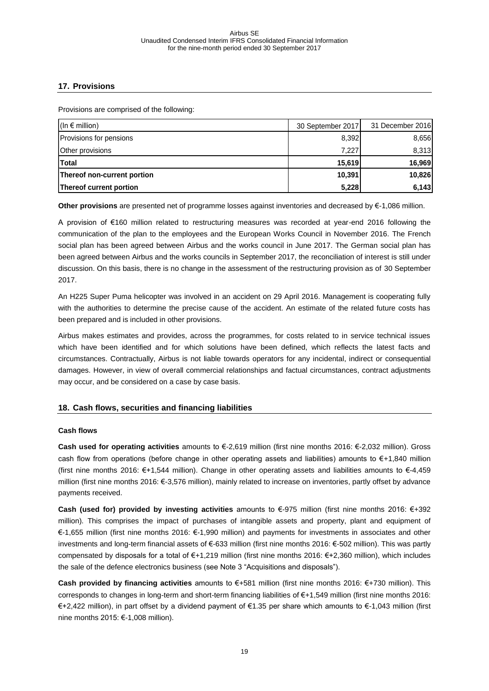### <span id="page-18-0"></span>**17. Provisions**

Provisions are comprised of the following:

| $(\ln \epsilon \text{ million})$ | 30 September 2017 | 31 December 2016 |
|----------------------------------|-------------------|------------------|
| Provisions for pensions          | 8,392             | 8,656            |
| Other provisions                 | 7,227             | 8,313            |
| <b>Total</b>                     | 15,619            | 16,969           |
| Thereof non-current portion      | 10,391            | 10,826           |
| Thereof current portion          | 5,228             | 6,143            |

**Other provisions** are presented net of programme losses against inventories and decreased by €-1,086 million.

A provision of €160 million related to restructuring measures was recorded at year-end 2016 following the communication of the plan to the employees and the European Works Council in November 2016. The French social plan has been agreed between Airbus and the works council in June 2017. The German social plan has been agreed between Airbus and the works councils in September 2017, the reconciliation of interest is still under discussion. On this basis, there is no change in the assessment of the restructuring provision as of 30 September 2017.

An H225 Super Puma helicopter was involved in an accident on 29 April 2016. Management is cooperating fully with the authorities to determine the precise cause of the accident. An estimate of the related future costs has been prepared and is included in other provisions.

Airbus makes estimates and provides, across the programmes, for costs related to in service technical issues which have been identified and for which solutions have been defined, which reflects the latest facts and circumstances. Contractually, Airbus is not liable towards operators for any incidental, indirect or consequential damages. However, in view of overall commercial relationships and factual circumstances, contract adjustments may occur, and be considered on a case by case basis.

### <span id="page-18-1"></span>**18. Cash flows, securities and financing liabilities**

### **Cash flows**

**Cash used for operating activities** amounts to €-2,619 million (first nine months 2016: €-2,032 million). Gross cash flow from operations (before change in other operating assets and liabilities) amounts to €+1,840 million (first nine months 2016: €+1,544 million). Change in other operating assets and liabilities amounts to €-4,459 million (first nine months 2016: €-3,576 million), mainly related to increase on inventories, partly offset by advance payments received.

**Cash (used for) provided by investing activities** amounts to €-975 million (first nine months 2016: €+392 million). This comprises the impact of purchases of intangible assets and property, plant and equipment of €-1,655 million (first nine months 2016: €-1,990 million) and payments for investments in associates and other investments and long-term financial assets of €-633 million (first nine months 2016: €-502 million). This was partly compensated by disposals for a total of €+1,219 million (first nine months 2016: €+2,360 million), which includes the sale of the defence electronics business (see Note 3 "Acquisitions and disposals").

**Cash provided by financing activities** amounts to €+581 million (first nine months 2016: €+730 million). This corresponds to changes in long-term and short-term financing liabilities of €+1,549 million (first nine months 2016: €+2,422 million), in part offset by a dividend payment of €1.35 per share which amounts to €-1,043 million (first nine months 2015: €-1,008 million).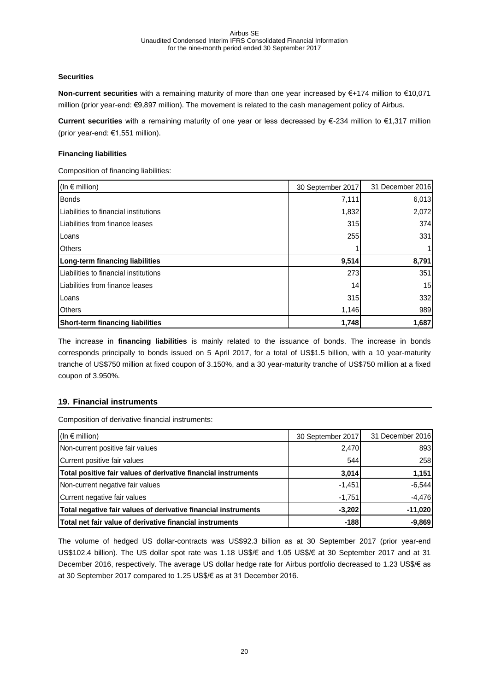### **Securities**

**Non-current securities** with a remaining maturity of more than one year increased by €+174 million to €10,071 million (prior year-end: €9,897 million). The movement is related to the cash management policy of Airbus.

**Current securities** with a remaining maturity of one year or less decreased by €-234 million to €1,317 million (prior year-end: €1,551 million).

### **Financing liabilities**

Composition of financing liabilities:

| (In $\epsilon$ million)               | 30 September 2017 | 31 December 2016 |
|---------------------------------------|-------------------|------------------|
| <b>Bonds</b>                          | 7,111             | 6,013            |
| Liabilities to financial institutions | 1,832             | 2,072            |
| Liabilities from finance leases       | 315               | 374              |
| Loans                                 | 255               | 331              |
| <b>Others</b>                         |                   |                  |
| Long-term financing liabilities       | 9,514             | 8,791            |
| Liabilities to financial institutions | 273               | 351              |
| Liabilities from finance leases       | 14                | 15               |
| Loans                                 | 315               | 332              |
| <b>Others</b>                         | 1,146             | 989              |
| Short-term financing liabilities      | 1,748             | 1,687            |

The increase in **financing liabilities** is mainly related to the issuance of bonds. The increase in bonds corresponds principally to bonds issued on 5 April 2017, for a total of US\$1.5 billion, with a 10 year-maturity tranche of US\$750 million at fixed coupon of 3.150%, and a 30 year-maturity tranche of US\$750 million at a fixed coupon of 3.950%.

### <span id="page-19-0"></span>**19. Financial instruments**

Composition of derivative financial instruments:

| (In $\epsilon$ million)                                        | 30 September 2017 | 31 December 2016 |
|----------------------------------------------------------------|-------------------|------------------|
| Non-current positive fair values                               | 2,470             | 893              |
| Current positive fair values                                   | 544               | 258              |
| Total positive fair values of derivative financial instruments | 3,014             | 1,151            |
| Non-current negative fair values                               | $-1,451$          | $-6,544$         |
| Current negative fair values                                   | $-1,751$          | $-4,476$         |
| Total negative fair values of derivative financial instruments | $-3,202$          | $-11,020$        |
| Total net fair value of derivative financial instruments       | $-188$            | $-9,869$         |

The volume of hedged US dollar-contracts was US\$92.3 billion as at 30 September 2017 (prior year-end US\$102.4 billion). The US dollar spot rate was 1.18 US\$/€ and 1.05 US\$/€ at 30 September 2017 and at 31 December 2016, respectively. The average US dollar hedge rate for Airbus portfolio decreased to 1.23 US\$/€ as at 30 September 2017 compared to 1.25 US\$/€ as at 31 December 2016.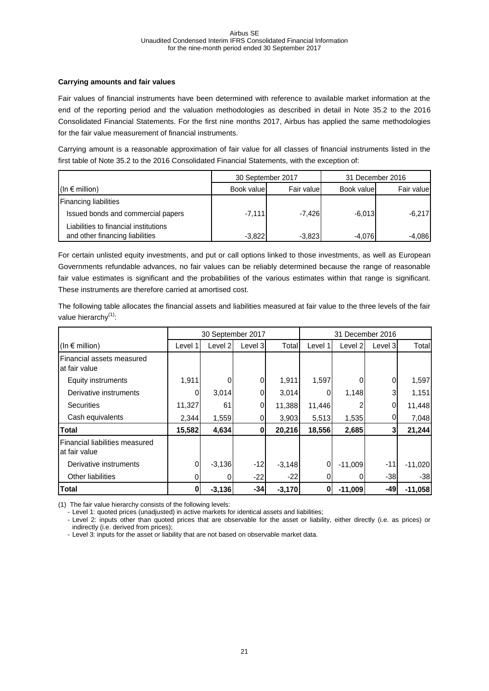### **Carrying amounts and fair values**

Fair values of financial instruments have been determined with reference to available market information at the end of the reporting period and the valuation methodologies as described in detail in Note 35.2 to the 2016 Consolidated Financial Statements. For the first nine months 2017, Airbus has applied the same methodologies for the fair value measurement of financial instruments.

Carrying amount is a reasonable approximation of fair value for all classes of financial instruments listed in the first table of Note 35.2 to the 2016 Consolidated Financial Statements, with the exception of:

|                                       | 30 September 2017 |            |            | 31 December 2016 |
|---------------------------------------|-------------------|------------|------------|------------------|
| $(\ln \epsilon \text{ million})$      | Book value        | Fair value | Book value | Fair value       |
| <b>Financing liabilities</b>          |                   |            |            |                  |
| Issued bonds and commercial papers    | $-7,111$          | $-7.426$   | $-6,013$   | $-6,217$         |
| Liabilities to financial institutions |                   |            |            |                  |
| and other financing liabilities       | $-3,822$          | $-3,823$   | $-4.076$   | $-4.086$         |

For certain unlisted equity investments, and put or call options linked to those investments, as well as European Governments refundable advances, no fair values can be reliably determined because the range of reasonable fair value estimates is significant and the probabilities of the various estimates within that range is significant. These instruments are therefore carried at amortised cost.

The following table allocates the financial assets and liabilities measured at fair value to the three levels of the fair value hierarchy $<sup>(1)</sup>$ :</sup>

|                                                 |          | 30 September 2017 |         |          | 31 December 2016 |           |         |           |
|-------------------------------------------------|----------|-------------------|---------|----------|------------------|-----------|---------|-----------|
| (In $\epsilon$ million)                         | Level 1  | Level 2           | Level 3 | Total    | Level 1          | Level 2   | Level 3 | Total     |
| Financial assets measured<br>at fair value      |          |                   |         |          |                  |           |         |           |
| <b>Equity instruments</b>                       | 1,911    |                   |         | 1,911    | 1,597            |           | 0       | 1,597     |
| Derivative instruments                          |          | 3,014             | 0       | 3,014    |                  | 1,148     | 3       | 1,151     |
| <b>Securities</b>                               | 11,327   | 61                | 0       | 11,388   | 11,446           |           | 0       | 11,448    |
| Cash equivalents                                | 2,344    | 1,559             | 0       | 3,903    | 5,513            | 1,535     | 0       | 7,048     |
| <b>Total</b>                                    | 15,582   | 4,634             | 0       | 20,216   | 18,556           | 2,685     | 3       | 21,244    |
| Financial liabilities measured<br>at fair value |          |                   |         |          |                  |           |         |           |
| Derivative instruments                          | $\Omega$ | $-3,136$          | $-12$   | $-3,148$ | 0                | $-11,009$ | $-11$   | $-11,020$ |
| Other liabilities                               |          | 0                 | $-22$   | $-22$    |                  |           | $-38$   | -38       |
| <b>Total</b>                                    | 01       | $-3,136$          | $-34$   | $-3,170$ | 0                | $-11,009$ | -49     | $-11,058$ |

(1) The fair value hierarchy consists of the following levels:

- Level 1: quoted prices (unadjusted) in active markets for identical assets and liabilities;

- Level 2: inputs other than quoted prices that are observable for the asset or liability, either directly (i.e. as prices) or indirectly (i.e. derived from prices);

- Level 3: inputs for the asset or liability that are not based on observable market data.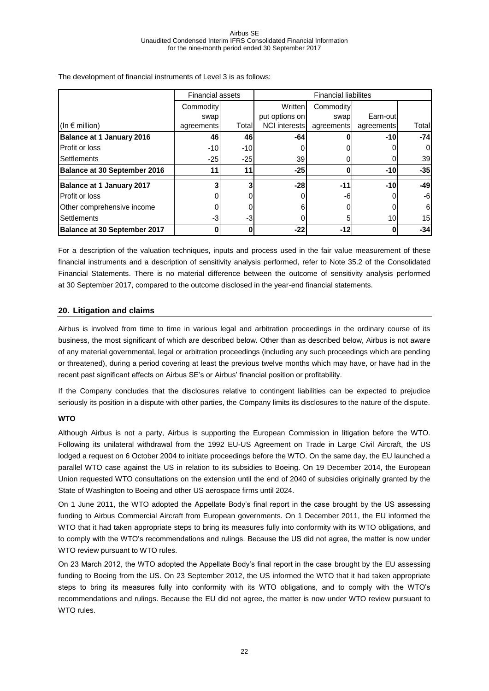|                                     | <b>Financial assets</b> |        | <b>Financial liabilites</b> |            |            |       |
|-------------------------------------|-------------------------|--------|-----------------------------|------------|------------|-------|
|                                     | Commodity               |        | Written                     | Commodity  |            |       |
|                                     | swap                    |        | put options on              | swap       | Earn-outl  |       |
| (In $\epsilon$ million)             | agreements              | Totall | <b>NCI</b> interests        | agreements | agreements | Total |
| <b>Balance at 1 January 2016</b>    | 46                      | 46     | -64                         |            | $-10$      | $-74$ |
| Profit or loss                      | $-10$                   | $-10$  |                             |            |            | 0     |
| <b>Settlements</b>                  | $-25$                   | $-25$  | 39                          |            |            | 39    |
| <b>Balance at 30 September 2016</b> |                         | 11     | $-25$                       |            | $-10$      | $-35$ |
| <b>Balance at 1 January 2017</b>    |                         |        | $-28$                       | $-11$      | $-10$      | $-49$ |
| Profit or loss                      |                         |        |                             | -61        |            | -6    |
| Other comprehensive income          |                         |        |                             |            |            | 6     |
| <b>Settlements</b>                  | -31                     | -3     |                             | 5          | 10         | 15    |
| <b>Balance at 30 September 2017</b> |                         | Ω      | $-22$                       | $-12$      |            | $-34$ |

The development of financial instruments of Level 3 is as follows:

For a description of the valuation techniques, inputs and process used in the fair value measurement of these financial instruments and a description of sensitivity analysis performed, refer to Note 35.2 of the Consolidated Financial Statements. There is no material difference between the outcome of sensitivity analysis performed at 30 September 2017, compared to the outcome disclosed in the year-end financial statements.

### <span id="page-21-0"></span>**20. Litigation and claims**

Airbus is involved from time to time in various legal and arbitration proceedings in the ordinary course of its business, the most significant of which are described below. Other than as described below, Airbus is not aware of any material governmental, legal or arbitration proceedings (including any such proceedings which are pending or threatened), during a period covering at least the previous twelve months which may have, or have had in the recent past significant effects on Airbus SE's or Airbus' financial position or profitability.

If the Company concludes that the disclosures relative to contingent liabilities can be expected to prejudice seriously its position in a dispute with other parties, the Company limits its disclosures to the nature of the dispute.

### **WTO**

Although Airbus is not a party, Airbus is supporting the European Commission in litigation before the WTO. Following its unilateral withdrawal from the 1992 EU-US Agreement on Trade in Large Civil Aircraft, the US lodged a request on 6 October 2004 to initiate proceedings before the WTO. On the same day, the EU launched a parallel WTO case against the US in relation to its subsidies to Boeing. On 19 December 2014, the European Union requested WTO consultations on the extension until the end of 2040 of subsidies originally granted by the State of Washington to Boeing and other US aerospace firms until 2024.

On 1 June 2011, the WTO adopted the Appellate Body's final report in the case brought by the US assessing funding to Airbus Commercial Aircraft from European governments. On 1 December 2011, the EU informed the WTO that it had taken appropriate steps to bring its measures fully into conformity with its WTO obligations, and to comply with the WTO's recommendations and rulings. Because the US did not agree, the matter is now under WTO review pursuant to WTO rules.

On 23 March 2012, the WTO adopted the Appellate Body's final report in the case brought by the EU assessing funding to Boeing from the US. On 23 September 2012, the US informed the WTO that it had taken appropriate steps to bring its measures fully into conformity with its WTO obligations, and to comply with the WTO's recommendations and rulings. Because the EU did not agree, the matter is now under WTO review pursuant to WTO rules.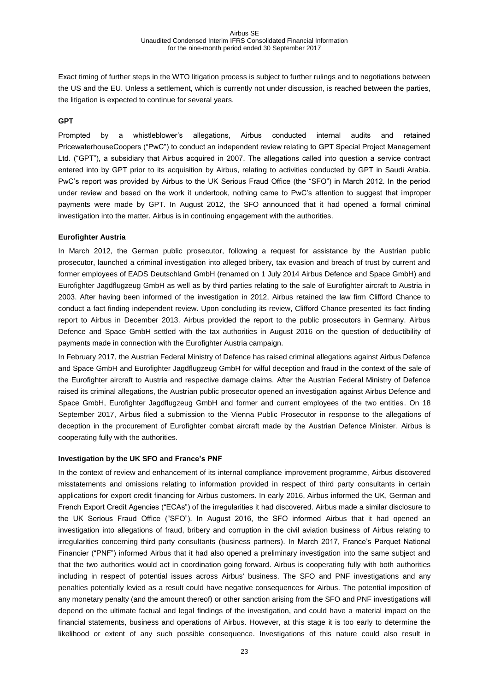Exact timing of further steps in the WTO litigation process is subject to further rulings and to negotiations between the US and the EU. Unless a settlement, which is currently not under discussion, is reached between the parties, the litigation is expected to continue for several years.

#### **GPT**

Prompted by a whistleblower's allegations, Airbus conducted internal audits and retained PricewaterhouseCoopers ("PwC") to conduct an independent review relating to GPT Special Project Management Ltd. ("GPT"), a subsidiary that Airbus acquired in 2007. The allegations called into question a service contract entered into by GPT prior to its acquisition by Airbus, relating to activities conducted by GPT in Saudi Arabia. PwC's report was provided by Airbus to the UK Serious Fraud Office (the "SFO") in March 2012. In the period under review and based on the work it undertook, nothing came to PwC's attention to suggest that improper payments were made by GPT. In August 2012, the SFO announced that it had opened a formal criminal investigation into the matter. Airbus is in continuing engagement with the authorities.

#### **Eurofighter Austria**

In March 2012, the German public prosecutor, following a request for assistance by the Austrian public prosecutor, launched a criminal investigation into alleged bribery, tax evasion and breach of trust by current and former employees of EADS Deutschland GmbH (renamed on 1 July 2014 Airbus Defence and Space GmbH) and Eurofighter Jagdflugzeug GmbH as well as by third parties relating to the sale of Eurofighter aircraft to Austria in 2003. After having been informed of the investigation in 2012, Airbus retained the law firm Clifford Chance to conduct a fact finding independent review. Upon concluding its review, Clifford Chance presented its fact finding report to Airbus in December 2013. Airbus provided the report to the public prosecutors in Germany. Airbus Defence and Space GmbH settled with the tax authorities in August 2016 on the question of deductibility of payments made in connection with the Eurofighter Austria campaign.

In February 2017, the Austrian Federal Ministry of Defence has raised criminal allegations against Airbus Defence and Space GmbH and Eurofighter Jagdflugzeug GmbH for wilful deception and fraud in the context of the sale of the Eurofighter aircraft to Austria and respective damage claims. After the Austrian Federal Ministry of Defence raised its criminal allegations, the Austrian public prosecutor opened an investigation against Airbus Defence and Space GmbH, Eurofighter Jagdflugzeug GmbH and former and current employees of the two entities. On 18 September 2017, Airbus filed a submission to the Vienna Public Prosecutor in response to the allegations of deception in the procurement of Eurofighter combat aircraft made by the Austrian Defence Minister. Airbus is cooperating fully with the authorities.

#### **Investigation by the UK SFO and France's PNF**

In the context of review and enhancement of its internal compliance improvement programme, Airbus discovered misstatements and omissions relating to information provided in respect of third party consultants in certain applications for export credit financing for Airbus customers. In early 2016, Airbus informed the UK, German and French Export Credit Agencies ("ECAs") of the irregularities it had discovered. Airbus made a similar disclosure to the UK Serious Fraud Office ("SFO"). In August 2016, the SFO informed Airbus that it had opened an investigation into allegations of fraud, bribery and corruption in the civil aviation business of Airbus relating to irregularities concerning third party consultants (business partners). In March 2017, France's Parquet National Financier ("PNF") informed Airbus that it had also opened a preliminary investigation into the same subject and that the two authorities would act in coordination going forward. Airbus is cooperating fully with both authorities including in respect of potential issues across Airbus' business. The SFO and PNF investigations and any penalties potentially levied as a result could have negative consequences for Airbus. The potential imposition of any monetary penalty (and the amount thereof) or other sanction arising from the SFO and PNF investigations will depend on the ultimate factual and legal findings of the investigation, and could have a material impact on the financial statements, business and operations of Airbus. However, at this stage it is too early to determine the likelihood or extent of any such possible consequence. Investigations of this nature could also result in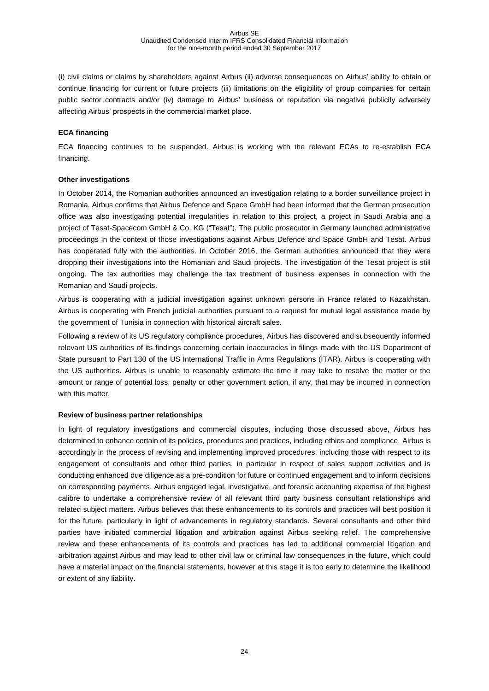(i) civil claims or claims by shareholders against Airbus (ii) adverse consequences on Airbus' ability to obtain or continue financing for current or future projects (iii) limitations on the eligibility of group companies for certain public sector contracts and/or (iv) damage to Airbus' business or reputation via negative publicity adversely affecting Airbus' prospects in the commercial market place.

#### **ECA financing**

ECA financing continues to be suspended. Airbus is working with the relevant ECAs to re-establish ECA financing.

#### **Other investigations**

In October 2014, the Romanian authorities announced an investigation relating to a border surveillance project in Romania. Airbus confirms that Airbus Defence and Space GmbH had been informed that the German prosecution office was also investigating potential irregularities in relation to this project, a project in Saudi Arabia and a project of Tesat-Spacecom GmbH & Co. KG ("Tesat"). The public prosecutor in Germany launched administrative proceedings in the context of those investigations against Airbus Defence and Space GmbH and Tesat. Airbus has cooperated fully with the authorities. In October 2016, the German authorities announced that they were dropping their investigations into the Romanian and Saudi projects. The investigation of the Tesat project is still ongoing. The tax authorities may challenge the tax treatment of business expenses in connection with the Romanian and Saudi projects.

Airbus is cooperating with a judicial investigation against unknown persons in France related to Kazakhstan. Airbus is cooperating with French judicial authorities pursuant to a request for mutual legal assistance made by the government of Tunisia in connection with historical aircraft sales.

Following a review of its US regulatory compliance procedures, Airbus has discovered and subsequently informed relevant US authorities of its findings concerning certain inaccuracies in filings made with the US Department of State pursuant to Part 130 of the US International Traffic in Arms Regulations (ITAR). Airbus is cooperating with the US authorities. Airbus is unable to reasonably estimate the time it may take to resolve the matter or the amount or range of potential loss, penalty or other government action, if any, that may be incurred in connection with this matter.

#### **Review of business partner relationships**

In light of regulatory investigations and commercial disputes, including those discussed above, Airbus has determined to enhance certain of its policies, procedures and practices, including ethics and compliance. Airbus is accordingly in the process of revising and implementing improved procedures, including those with respect to its engagement of consultants and other third parties, in particular in respect of sales support activities and is conducting enhanced due diligence as a pre-condition for future or continued engagement and to inform decisions on corresponding payments. Airbus engaged legal, investigative, and forensic accounting expertise of the highest calibre to undertake a comprehensive review of all relevant third party business consultant relationships and related subject matters. Airbus believes that these enhancements to its controls and practices will best position it for the future, particularly in light of advancements in regulatory standards. Several consultants and other third parties have initiated commercial litigation and arbitration against Airbus seeking relief. The comprehensive review and these enhancements of its controls and practices has led to additional commercial litigation and arbitration against Airbus and may lead to other civil law or criminal law consequences in the future, which could have a material impact on the financial statements, however at this stage it is too early to determine the likelihood or extent of any liability.